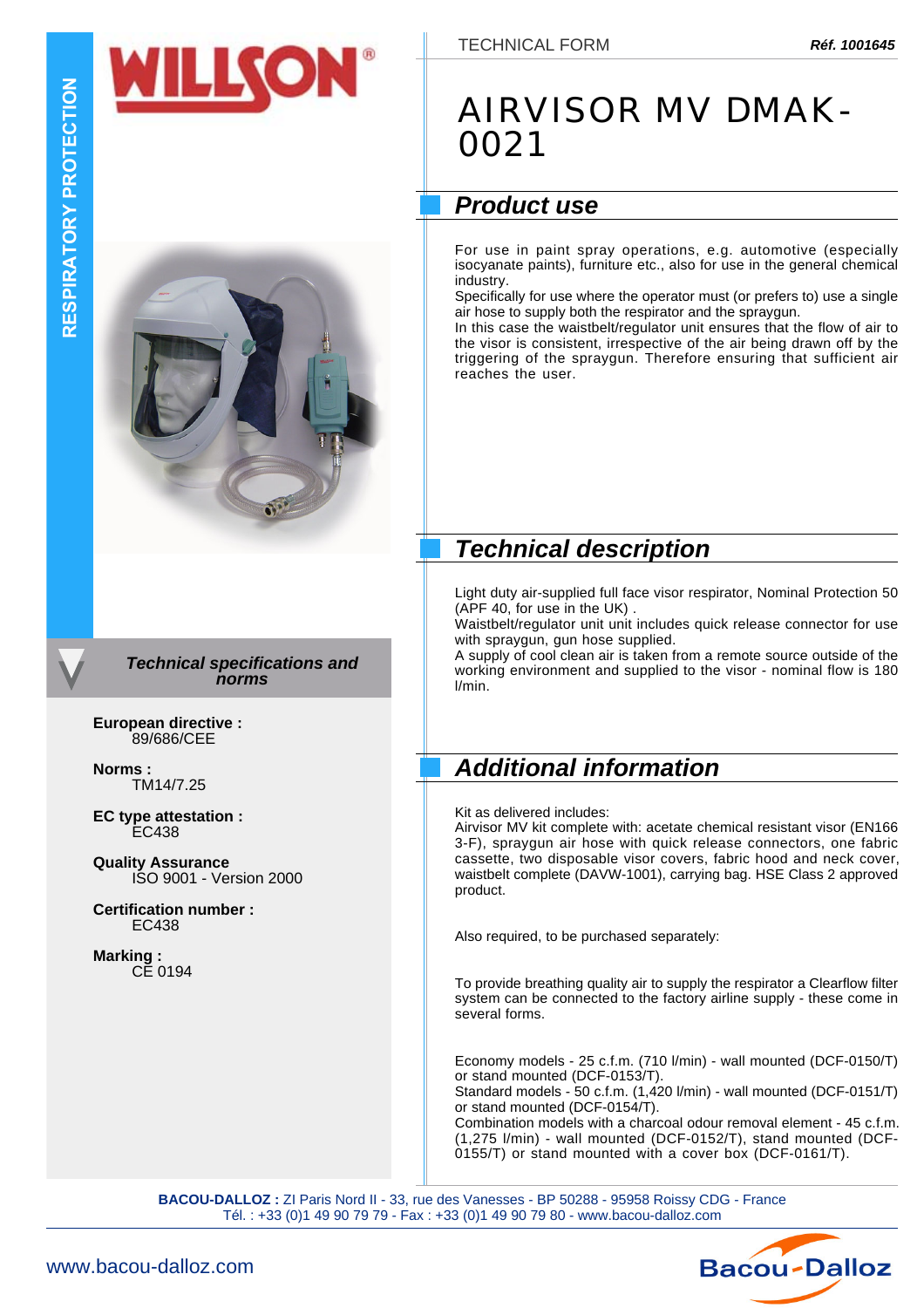

*Technical specifications and norms*

**European directive :** 89/686/CEE

**Norms :** TM14/7.25

**EC type attestation :** EC438

**Quality Assurance** ISO 9001 - Version 2000

**Certification number :** EC438

**Marking :** CE 0194

## AIRVISOR MV DMAK-0021

## *Product use*

For use in paint spray operations, e.g. automotive (especially isocyanate paints), furniture etc., also for use in the general chemical industry.

Specifically for use where the operator must (or prefers to) use a single air hose to supply both the respirator and the spraygun.

In this case the waistbelt/regulator unit ensures that the flow of air to the visor is consistent, irrespective of the air being drawn off by the triggering of the spraygun. Therefore ensuring that sufficient air reaches the user.

### *Technical description*

Light duty air-supplied full face visor respirator, Nominal Protection 50 (APF 40, for use in the UK) .

Waistbelt/regulator unit unit includes quick release connector for use with spraygun, gun hose supplied.

A supply of cool clean air is taken from a remote source outside of the working environment and supplied to the visor - nominal flow is 180 l/min.

### *Additional information*

Kit as delivered includes:

Airvisor MV kit complete with: acetate chemical resistant visor (EN166 3-F), spraygun air hose with quick release connectors, one fabric cassette, two disposable visor covers, fabric hood and neck cover, waistbelt complete (DAVW-1001), carrying bag. HSE Class 2 approved product.

Also required, to be purchased separately:

To provide breathing quality air to supply the respirator a Clearflow filter system can be connected to the factory airline supply - these come in several forms.

Economy models - 25 c.f.m. (710 l/min) - wall mounted (DCF-0150/T) or stand mounted (DCF-0153/T).

Standard models - 50 c.f.m. (1,420 l/min) - wall mounted (DCF-0151/T) or stand mounted (DCF-0154/T).

Combination models with a charcoal odour removal element - 45 c.f.m. (1,275 l/min) - wall mounted (DCF-0152/T), stand mounted (DCF-0155/T) or stand mounted with a cover box (DCF-0161/T).

**BACOU-DALLOZ :** ZI Paris Nord II - 33, rue des Vanesses - BP 50288 - 95958 Roissy CDG - France Tél. : +33 (0)1 49 90 79 79 - Fax : +33 (0)1 49 90 79 80 - www.bacou-dalloz.com

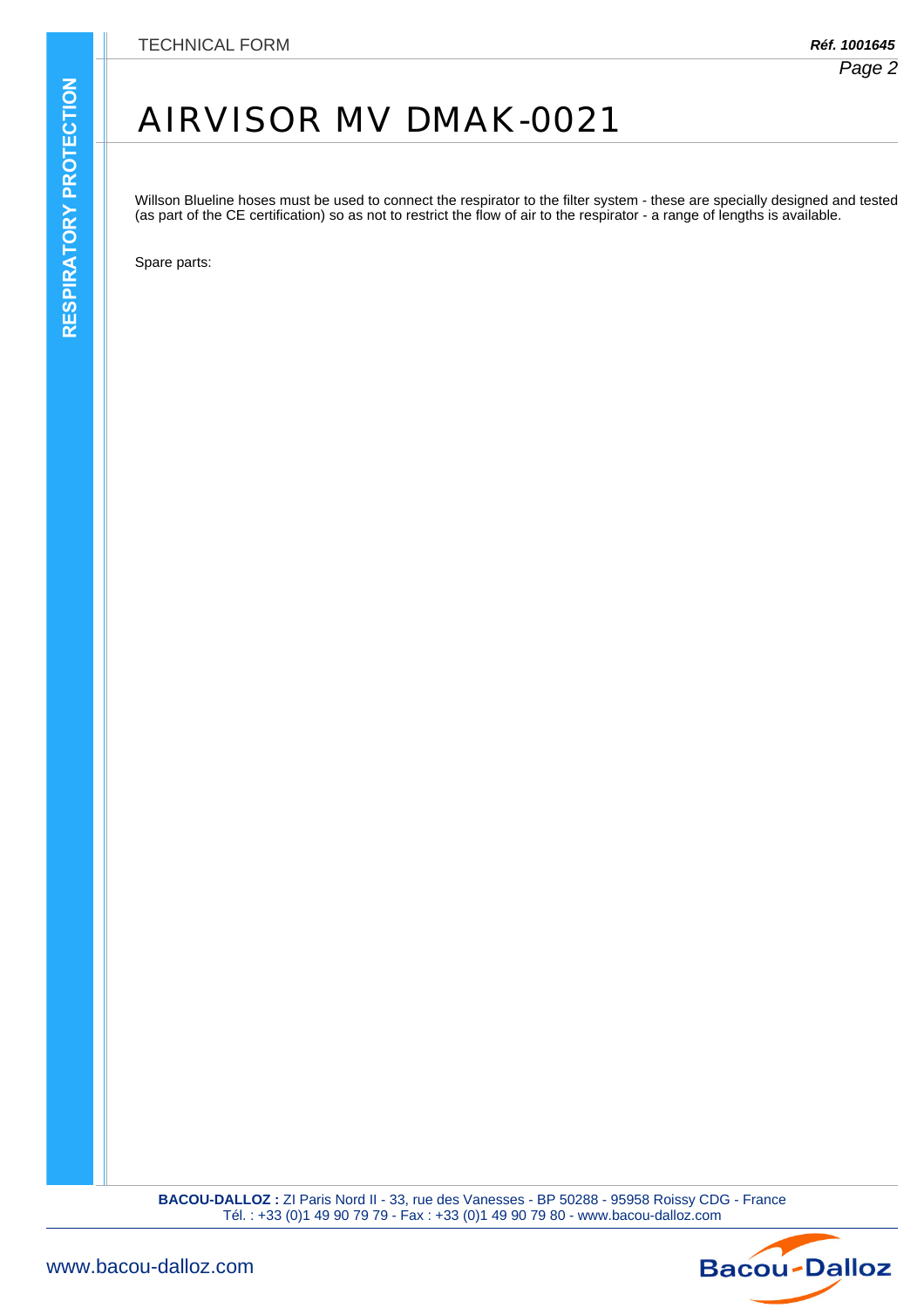## AIRVISOR MV DMAK-0021

Willson Blueline hoses must be used to connect the respirator to the filter system - these are specially designed and tested (as part of the CE certification) so as not to restrict the flow of air to the respirator - a range of lengths is available.

Spare parts:

**BACOU-DALLOZ :** ZI Paris Nord II - 33, rue des Vanesses - BP 50288 - 95958 Roissy CDG - France Tél. : +33 (0)1 49 90 79 79 - Fax : +33 (0)1 49 90 79 80 - www.bacou-dalloz.com